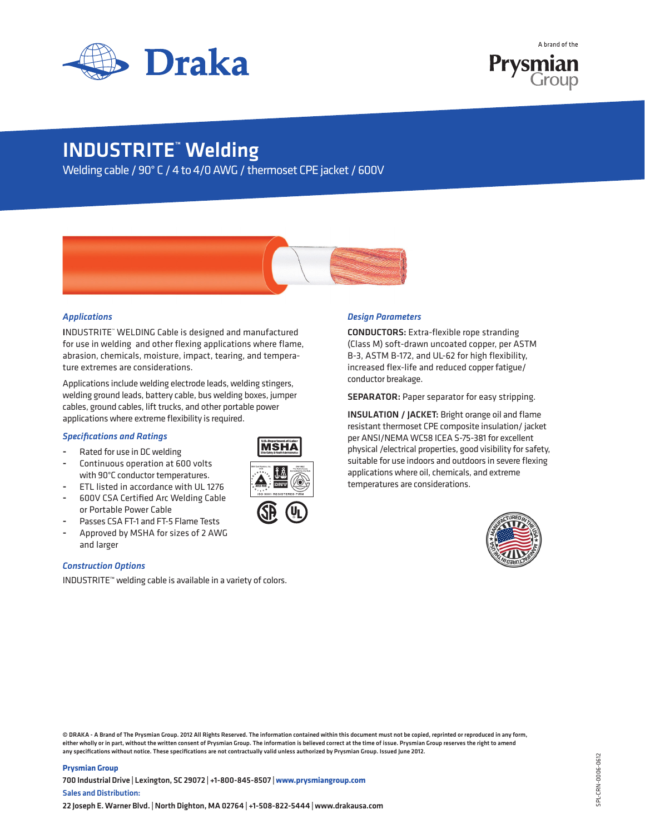



## INDUSTRITE™ Welding

Welding cable / 90° C / 4 to 4/0 AWG / thermoset CPE jacket / 600V



### *Applications*

INDUSTRITE™ WELDING Cable is designed and manufactured for use in welding and other flexing applications where flame, abrasion, chemicals, moisture, impact, tearing, and temperature extremes are considerations.

Applications include welding electrode leads, welding stingers, welding ground leads, battery cable, bus welding boxes, jumper cables, ground cables, lift trucks, and other portable power applications where extreme flexibility is required.

#### *Specifications and Ratings*

- Rated for use in DC welding
- Continuous operation at 600 volts with 90°C conductor temperatures.
- ETL listed in accordance with UL 1276
- 600V CSA Certified Arc Welding Cable or Portable Power Cable



U.S. Department of Labor United States Department of Labor **Mine Safety & Health Administration** Mine Safety and Health Administration

Passes CSA FT-1 and FT-5 Flame Tests Approved by MSHA for sizes of 2 AWG and larger

#### *Construction Options*

INDUSTRITE™ welding cable is available in a variety of colors.

#### *Design Parameters*

CONDUCTORS: Extra-flexible rope stranding (Class M) soft-drawn uncoated copper, per ASTM B-3, ASTM B-172, and UL-62 for high flexibility, increased flex-life and reduced copper fatigue/ conductor breakage.

SEPARATOR: Paper separator for easy stripping.

INSULATION / JACKET: Bright orange oil and flame resistant thermoset CPE composite insulation/ jacket per ANSI/NEMA WC58 ICEA S-75-381 for excellent physical /electrical properties, good visibility for safety, suitable for use indoors and outdoors in severe flexing applications where oil, chemicals, and extreme temperatures are considerations.



© DRAKA - A Brand of The Prysmian Group. 2012 All Rights Reserved. The information contained within this document must not be copied, reprinted or reproduced in any form, either wholly or in part, without the written consent of Prysmian Group. The information is believed correct at the time of issue. Prysmian Group reserves the right to amend any specifications without notice. These specifications are not contractually valid unless authorized by Prysmian Group. Issued June 2012.

#### **Prysmian Group**

700 Industrial Drive | Lexington, SC 29072 | +1-800-845-8507 | **www.prysmiangroup.com** Sales and Distribution: